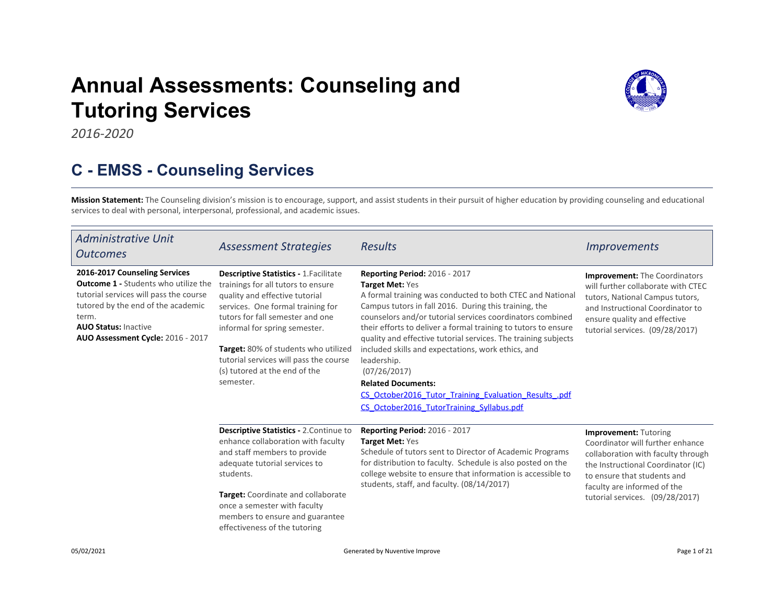# Annual Assessments: Counseli[ng](https://comfsm.tracdat.com:443/tracdat/viewDocument?y=7aKIfImCm6DB) and Tutoring Services



2016-2020

### C - EMSS - Counseling Services

Mission Statement: The Counseling division's mission is to encourage, support, and assist stu[den](https://comfsm.tracdat.com:443/tracdat/viewDocument?y=iAQmLQ4Z4KSL)ts in their pursuit of higher education by providing counseling and educational services to deal with personal, interpersonal, professional, and academic issues.

| Administrative Unit<br><b>Outcomes</b>                                                                                                                                                                                                    | <b>Assessment Strategies</b>                                                                                                                                                                                                                                                                                                                                    | <b>Results</b>                                                                                                                                                                                                                                                                                                                                                                                                                                                                                                                                                                                  | <i><u><b>Improvements</b></u></i>                                                                                                                                                                                                             |
|-------------------------------------------------------------------------------------------------------------------------------------------------------------------------------------------------------------------------------------------|-----------------------------------------------------------------------------------------------------------------------------------------------------------------------------------------------------------------------------------------------------------------------------------------------------------------------------------------------------------------|-------------------------------------------------------------------------------------------------------------------------------------------------------------------------------------------------------------------------------------------------------------------------------------------------------------------------------------------------------------------------------------------------------------------------------------------------------------------------------------------------------------------------------------------------------------------------------------------------|-----------------------------------------------------------------------------------------------------------------------------------------------------------------------------------------------------------------------------------------------|
| 2016-2017 Counseling Services<br><b>Outcome 1 - Students who utilize the</b><br>tutorial services will pass the course<br>tutored by the end of the academic<br>term.<br><b>AUO Status: Inactive</b><br>AUO Assessment Cycle: 2016 - 2017 | <b>Descriptive Statistics - 1. Facilitate</b><br>trainings for all tutors to ensure<br>quality and effective tutorial<br>services. One formal training for<br>tutors for fall semester and one<br>informal for spring semester.<br>Target: 80% of students who utilized<br>tutorial services will pass the course<br>(s) tutored at the end of the<br>semester. | Reporting Period: 2016 - 2017<br>Target Met: Yes<br>A formal training was conducted to both CTEC and National<br>Campus tutors in fall 2016. During this training, the<br>counselors and/or tutorial services coordinators combined<br>their efforts to deliver a formal training to tutors to ensure<br>quality and effective tutorial services. The training subjects<br>included skills and expectations, work ethics, and<br>leadership.<br>(07/26/2017)<br><b>Related Documents:</b><br>CS October2016 Tutor Training Evaluation Results .pdf<br>CS October2016 TutorTraining Syllabus.pdf | <b>Improvement: The Coordinators</b><br>will further collaborate with CTEC<br>tutors, National Campus tutors,<br>and Instructional Coordinator to<br>ensure quality and effective<br>tutorial services. (09/28/2017)                          |
|                                                                                                                                                                                                                                           | Descriptive Statistics - 2. Continue to<br>enhance collaboration with faculty<br>and staff members to provide<br>adequate tutorial services to<br>students.<br>Target: Coordinate and collaborate<br>once a semester with faculty<br>members to ensure and guarantee<br>effectiveness of the tutoring                                                           | Reporting Period: 2016 - 2017<br><b>Target Met: Yes</b><br>Schedule of tutors sent to Director of Academic Programs<br>for distribution to faculty. Schedule is also posted on the<br>college website to ensure that information is accessible to<br>students, staff, and faculty. (08/14/2017)                                                                                                                                                                                                                                                                                                 | <b>Improvement: Tutoring</b><br>Coordinator will further enhance<br>collaboration with faculty through<br>the Instructional Coordinator (IC)<br>to ensure that students and<br>faculty are informed of the<br>tutorial services. (09/28/2017) |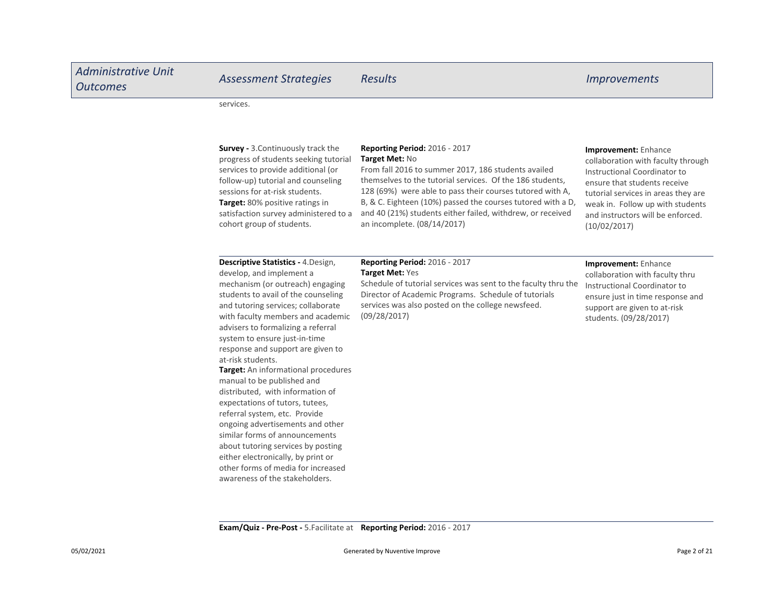| <b>Administrative Unit</b><br><b>Outcomes</b> | <b>Assessment Strategies</b>                                                                                                                                                                                                                                                                                                                                                                                                                                                                                                                                                                                                                                                                                                                                 | <b>Results</b>                                                                                                                                                                                                                                                                                                                                                                               | <b>Improvements</b>                                                                                                                                                                                                                                        |
|-----------------------------------------------|--------------------------------------------------------------------------------------------------------------------------------------------------------------------------------------------------------------------------------------------------------------------------------------------------------------------------------------------------------------------------------------------------------------------------------------------------------------------------------------------------------------------------------------------------------------------------------------------------------------------------------------------------------------------------------------------------------------------------------------------------------------|----------------------------------------------------------------------------------------------------------------------------------------------------------------------------------------------------------------------------------------------------------------------------------------------------------------------------------------------------------------------------------------------|------------------------------------------------------------------------------------------------------------------------------------------------------------------------------------------------------------------------------------------------------------|
|                                               | services.                                                                                                                                                                                                                                                                                                                                                                                                                                                                                                                                                                                                                                                                                                                                                    |                                                                                                                                                                                                                                                                                                                                                                                              |                                                                                                                                                                                                                                                            |
|                                               | <b>Survey - 3. Continuously track the</b><br>progress of students seeking tutorial<br>services to provide additional (or<br>follow-up) tutorial and counseling<br>sessions for at-risk students.<br>Target: 80% positive ratings in<br>satisfaction survey administered to a<br>cohort group of students.                                                                                                                                                                                                                                                                                                                                                                                                                                                    | Reporting Period: 2016 - 2017<br>Target Met: No<br>From fall 2016 to summer 2017, 186 students availed<br>themselves to the tutorial services. Of the 186 students,<br>128 (69%) were able to pass their courses tutored with A,<br>B, & C. Eighteen (10%) passed the courses tutored with a D,<br>and 40 (21%) students either failed, withdrew, or received<br>an incomplete. (08/14/2017) | Improvement: Enhance<br>collaboration with faculty through<br>Instructional Coordinator to<br>ensure that students receive<br>tutorial services in areas they are<br>weak in. Follow up with students<br>and instructors will be enforced.<br>(10/02/2017) |
|                                               | Descriptive Statistics - 4.Design,<br>develop, and implement a<br>mechanism (or outreach) engaging<br>students to avail of the counseling<br>and tutoring services; collaborate<br>with faculty members and academic<br>advisers to formalizing a referral<br>system to ensure just-in-time<br>response and support are given to<br>at-risk students.<br>Target: An informational procedures<br>manual to be published and<br>distributed, with information of<br>expectations of tutors, tutees,<br>referral system, etc. Provide<br>ongoing advertisements and other<br>similar forms of announcements<br>about tutoring services by posting<br>either electronically, by print or<br>other forms of media for increased<br>awareness of the stakeholders. | Reporting Period: 2016 - 2017<br><b>Target Met: Yes</b><br>Schedule of tutorial services was sent to the faculty thru the<br>Director of Academic Programs. Schedule of tutorials<br>services was also posted on the college newsfeed.<br>(09/28/2017)                                                                                                                                       | Improvement: Enhance<br>collaboration with faculty thru<br>Instructional Coordinator to<br>ensure just in time response and<br>support are given to at-risk<br>students. (09/28/2017)                                                                      |

Exam/Quiz - Pre-Post - 5.Facilitate at Reporting Period: 2016 - 2017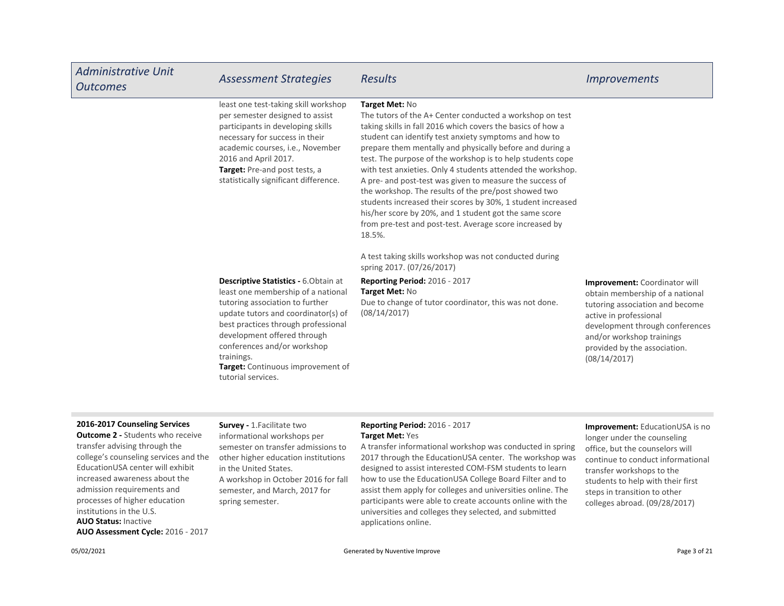| <b>Administrative Unit</b><br><b>Outcomes</b> | <b>Assessment Strategies</b>                                                                                                                                                                                                                                                                                                               | <b>Results</b>                                                                                                                                                                                                                                                                                                                                                                                                                                                                                                                                                                                                                                                                                                | <i>Improvements</i>                                                                                                                                                                                                                           |
|-----------------------------------------------|--------------------------------------------------------------------------------------------------------------------------------------------------------------------------------------------------------------------------------------------------------------------------------------------------------------------------------------------|---------------------------------------------------------------------------------------------------------------------------------------------------------------------------------------------------------------------------------------------------------------------------------------------------------------------------------------------------------------------------------------------------------------------------------------------------------------------------------------------------------------------------------------------------------------------------------------------------------------------------------------------------------------------------------------------------------------|-----------------------------------------------------------------------------------------------------------------------------------------------------------------------------------------------------------------------------------------------|
|                                               | least one test-taking skill workshop<br>per semester designed to assist<br>participants in developing skills<br>necessary for success in their<br>academic courses, i.e., November<br>2016 and April 2017.<br>Target: Pre-and post tests, a<br>statistically significant difference.                                                       | Target Met: No<br>The tutors of the A+ Center conducted a workshop on test<br>taking skills in fall 2016 which covers the basics of how a<br>student can identify test anxiety symptoms and how to<br>prepare them mentally and physically before and during a<br>test. The purpose of the workshop is to help students cope<br>with test anxieties. Only 4 students attended the workshop.<br>A pre- and post-test was given to measure the success of<br>the workshop. The results of the pre/post showed two<br>students increased their scores by 30%, 1 student increased<br>his/her score by 20%, and 1 student got the same score<br>from pre-test and post-test. Average score increased by<br>18.5%. |                                                                                                                                                                                                                                               |
|                                               |                                                                                                                                                                                                                                                                                                                                            | A test taking skills workshop was not conducted during<br>spring 2017. (07/26/2017)                                                                                                                                                                                                                                                                                                                                                                                                                                                                                                                                                                                                                           |                                                                                                                                                                                                                                               |
|                                               | <b>Descriptive Statistics - 6. Obtain at</b><br>least one membership of a national<br>tutoring association to further<br>update tutors and coordinator(s) of<br>best practices through professional<br>development offered through<br>conferences and/or workshop<br>trainings.<br>Target: Continuous improvement of<br>tutorial services. | Reporting Period: 2016 - 2017<br>Target Met: No<br>Due to change of tutor coordinator, this was not done.<br>(08/14/2017)                                                                                                                                                                                                                                                                                                                                                                                                                                                                                                                                                                                     | Improvement: Coordinator will<br>obtain membership of a national<br>tutoring association and become<br>active in professional<br>development through conferences<br>and/or workshop trainings<br>provided by the association.<br>(08/14/2017) |

#### 2016-2017 Counseling Services

AUO Status: Inactive AUO Assessment Cycle: 2016 - 2017 **Outcome 2 - Students who receive** transfer advising through the college's counseling services and the EducationUSA center will exhibit increased awareness about the admission requirements and processes of higher education institutions in the U.S.

Survey - 1.Facilitate two informational workshops per semester on transfer admissions to other higher education institutions in the United States. A workshop in October 2016 for fall semester, and March, 2017 for spring semester.

### Reporting Period: 2016 - 2017 Target Met: Yes

A transfer informational workshop was conducted in spring 2017 through the EducationUSA center. The workshop was designed to assist interested COM-FSM students to learn how to use the EducationUSA College Board Filter and to assist them apply for colleges and universities online. The participants were able to create accounts online with the universities and colleges they selected, and submitted applications online.

### Improvement: EducationUSA is no longer under the counseling office, but the counselors will continue to conduct informational transfer workshops to the students to help with their first steps in transition to other colleges abroad. (09/28/2017)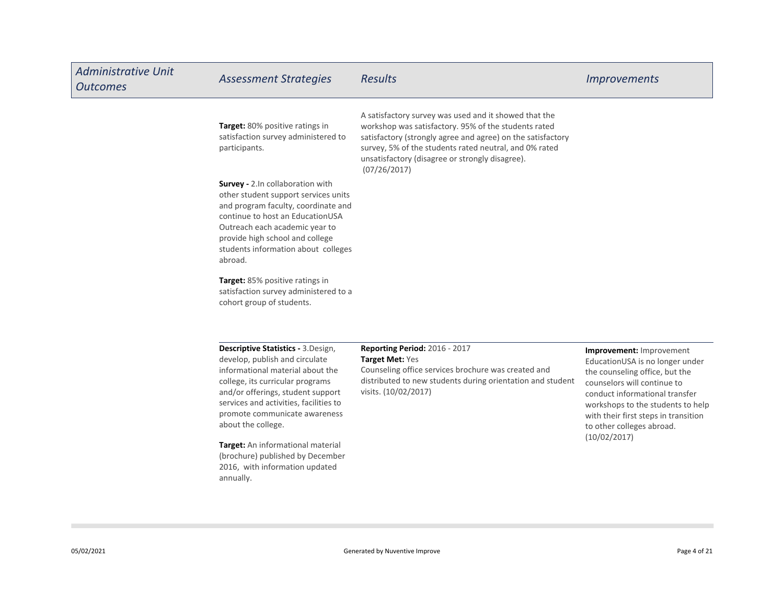| <b>Administrative Unit</b><br><b>Outcomes</b> | <b>Assessment Strategies</b>                                                                                                                                                                                                                                                       | <b>Results</b>                                                                                                                                                                                                                                                                                            | <b>Improvements</b>                                                                                                                                                                                                                                                      |
|-----------------------------------------------|------------------------------------------------------------------------------------------------------------------------------------------------------------------------------------------------------------------------------------------------------------------------------------|-----------------------------------------------------------------------------------------------------------------------------------------------------------------------------------------------------------------------------------------------------------------------------------------------------------|--------------------------------------------------------------------------------------------------------------------------------------------------------------------------------------------------------------------------------------------------------------------------|
|                                               | Target: 80% positive ratings in<br>satisfaction survey administered to<br>participants.                                                                                                                                                                                            | A satisfactory survey was used and it showed that the<br>workshop was satisfactory. 95% of the students rated<br>satisfactory (strongly agree and agree) on the satisfactory<br>survey, 5% of the students rated neutral, and 0% rated<br>unsatisfactory (disagree or strongly disagree).<br>(07/26/2017) |                                                                                                                                                                                                                                                                          |
|                                               | Survey - 2.In collaboration with<br>other student support services units<br>and program faculty, coordinate and<br>continue to host an EducationUSA<br>Outreach each academic year to<br>provide high school and college<br>students information about colleges<br>abroad.         |                                                                                                                                                                                                                                                                                                           |                                                                                                                                                                                                                                                                          |
|                                               | Target: 85% positive ratings in<br>satisfaction survey administered to a<br>cohort group of students.                                                                                                                                                                              |                                                                                                                                                                                                                                                                                                           |                                                                                                                                                                                                                                                                          |
|                                               | Descriptive Statistics - 3.Design,<br>develop, publish and circulate<br>informational material about the<br>college, its curricular programs<br>and/or offerings, student support<br>services and activities, facilities to<br>promote communicate awareness<br>about the college. | <b>Reporting Period: 2016 - 2017</b><br>Target Met: Yes<br>Counseling office services brochure was created and<br>distributed to new students during orientation and student<br>visits. (10/02/2017)                                                                                                      | Improvement: Improvement<br>EducationUSA is no longer under<br>the counseling office, but the<br>counselors will continue to<br>conduct informational transfer<br>workshops to the students to help<br>with their first steps in transition<br>to other colleges abroad. |
|                                               | Target: An informational material<br>(brochure) published by December<br>2016, with information updated<br>annually.                                                                                                                                                               |                                                                                                                                                                                                                                                                                                           | (10/02/2017)                                                                                                                                                                                                                                                             |

**College**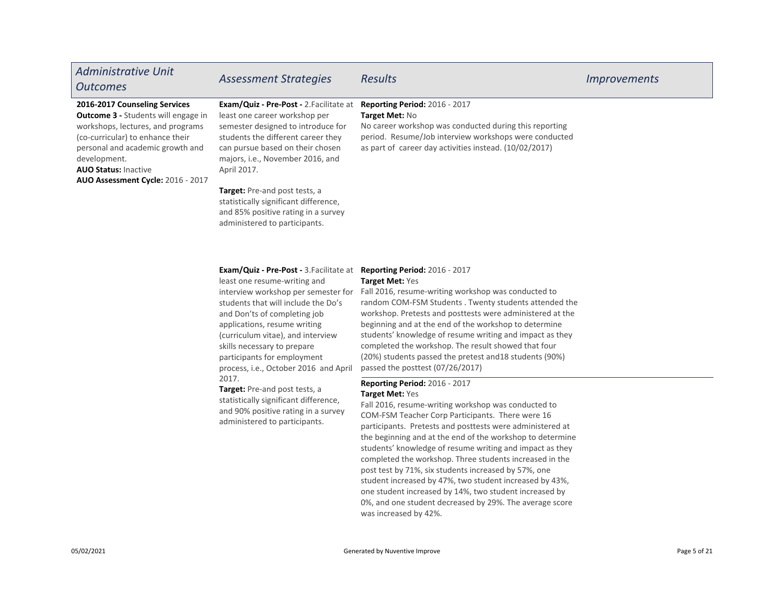| <b>Administrative Unit</b><br><b>Outcomes</b>                                                                                                                                                                                                                                | <b>Assessment Strategies</b>                                                                                                                                                                                                                       | <b>Results</b>                                                                                                                                                                                                               | <i>Improvements</i> |
|------------------------------------------------------------------------------------------------------------------------------------------------------------------------------------------------------------------------------------------------------------------------------|----------------------------------------------------------------------------------------------------------------------------------------------------------------------------------------------------------------------------------------------------|------------------------------------------------------------------------------------------------------------------------------------------------------------------------------------------------------------------------------|---------------------|
| 2016-2017 Counseling Services<br><b>Outcome 3 - Students will engage in</b><br>workshops, lectures, and programs<br>(co-curricular) to enhance their<br>personal and academic growth and<br>development.<br><b>AUO Status: Inactive</b><br>AUO Assessment Cycle: 2016 - 2017 | <b>Exam/Quiz - Pre-Post - 2. Facilitate at</b><br>least one career workshop per<br>semester designed to introduce for<br>students the different career they<br>can pursue based on their chosen<br>majors, i.e., November 2016, and<br>April 2017. | Reporting Period: 2016 - 2017<br>Target Met: No<br>No career workshop was conducted during this reporting<br>period. Resume/Job interview workshops were conducted<br>as part of career day activities instead. (10/02/2017) |                     |
|                                                                                                                                                                                                                                                                              | <b>Target:</b> Pre-and post tests, a<br>statistically significant difference,<br>and 85% positive rating in a survey<br>administered to participants.                                                                                              |                                                                                                                                                                                                                              |                     |

### Exam/Quiz - Pre-Post - 3.Facilitate at Reporting Period: 2016 - 2017

least one resume-writing and students that will include the Do's and Don'ts of completing job applications, resume writing (curriculum vitae), and interview skills necessary to prepare participants for employment process, i.e., October 2016 and April 2017.

Target: Pre-and post tests, a statistically significant difference, and 90% positive rating in a survey administered to participants.

### Target Met: Yes

interview workshop per semester for Fall 2016, resume-writing workshop was conducted to random COM-FSM Students . Twenty students attended the workshop. Pretests and posttests were administered at the beginning and at the end of the workshop to determine students' knowledge of resume writing and impact as they completed the workshop. The result showed that four (20%) students passed the pretest and18 students (90%) passed the posttest (07/26/2017)

### Reporting Period: 2016 - 2017 Target Met: Yes

Fall 2016, resume-writing workshop was conducted to COM-FSM Teacher Corp Participants. There were 16 participants. Pretests and posttests were administered at the beginning and at the end of the workshop to determine students' knowledge of resume writing and impact as they completed the workshop. Three students increased in the post test by 71%, six students increased by 57%, one student increased by 47%, two student increased by 43%, one student increased by 14%, two student increased by 0%, and one student decreased by 29%. The average score was increased by 42%.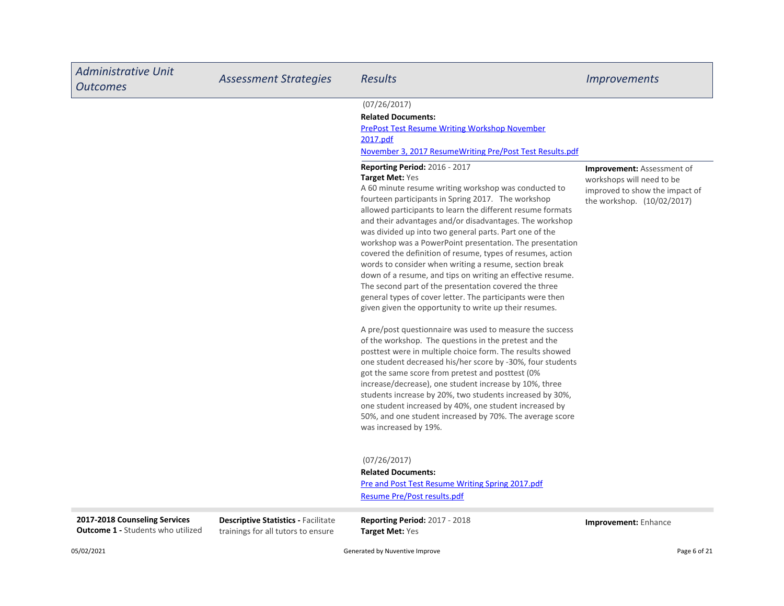| <b>Administrative Unit</b><br><b>Outcomes</b>                             | <b>Assessment Strategies</b>                                                     | <b>Results</b>                                                                                                                                                                                                                                                                                                                                                                                                                                                                                                                                                                                                                                                                                                                                                                                                                                                                                                                                                                                                                                                                                                                                                                                                                                                                                                                                                      | <i><u><b>Improvements</b></u></i>                                                                                              |
|---------------------------------------------------------------------------|----------------------------------------------------------------------------------|---------------------------------------------------------------------------------------------------------------------------------------------------------------------------------------------------------------------------------------------------------------------------------------------------------------------------------------------------------------------------------------------------------------------------------------------------------------------------------------------------------------------------------------------------------------------------------------------------------------------------------------------------------------------------------------------------------------------------------------------------------------------------------------------------------------------------------------------------------------------------------------------------------------------------------------------------------------------------------------------------------------------------------------------------------------------------------------------------------------------------------------------------------------------------------------------------------------------------------------------------------------------------------------------------------------------------------------------------------------------|--------------------------------------------------------------------------------------------------------------------------------|
|                                                                           |                                                                                  | (07/26/2017)<br><b>Related Documents:</b><br><b>PrePost Test Resume Writing Workshop November</b><br>2017.pdf<br>November 3, 2017 ResumeWriting Pre/Post Test Results.pdf                                                                                                                                                                                                                                                                                                                                                                                                                                                                                                                                                                                                                                                                                                                                                                                                                                                                                                                                                                                                                                                                                                                                                                                           |                                                                                                                                |
|                                                                           |                                                                                  | <b>Reporting Period: 2016 - 2017</b><br>Target Met: Yes<br>A 60 minute resume writing workshop was conducted to<br>fourteen participants in Spring 2017. The workshop<br>allowed participants to learn the different resume formats<br>and their advantages and/or disadvantages. The workshop<br>was divided up into two general parts. Part one of the<br>workshop was a PowerPoint presentation. The presentation<br>covered the definition of resume, types of resumes, action<br>words to consider when writing a resume, section break<br>down of a resume, and tips on writing an effective resume.<br>The second part of the presentation covered the three<br>general types of cover letter. The participants were then<br>given given the opportunity to write up their resumes.<br>A pre/post questionnaire was used to measure the success<br>of the workshop. The questions in the pretest and the<br>posttest were in multiple choice form. The results showed<br>one student decreased his/her score by -30%, four students<br>got the same score from pretest and posttest (0%<br>increase/decrease), one student increase by 10%, three<br>students increase by 20%, two students increased by 30%,<br>one student increased by 40%, one student increased by<br>50%, and one student increased by 70%. The average score<br>was increased by 19%. | <b>Improvement:</b> Assessment of<br>workshops will need to be<br>improved to show the impact of<br>the workshop. (10/02/2017) |
|                                                                           |                                                                                  | (07/26/2017)<br><b>Related Documents:</b><br>Pre and Post Test Resume Writing Spring 2017.pdf<br>Resume Pre/Post results.pdf                                                                                                                                                                                                                                                                                                                                                                                                                                                                                                                                                                                                                                                                                                                                                                                                                                                                                                                                                                                                                                                                                                                                                                                                                                        |                                                                                                                                |
| 2017-2018 Counseling Services<br><b>Outcome 1 - Students who utilized</b> | <b>Descriptive Statistics - Facilitate</b><br>trainings for all tutors to ensure | <b>Reporting Period: 2017 - 2018</b><br><b>Target Met: Yes</b>                                                                                                                                                                                                                                                                                                                                                                                                                                                                                                                                                                                                                                                                                                                                                                                                                                                                                                                                                                                                                                                                                                                                                                                                                                                                                                      | Improvement: Enhance                                                                                                           |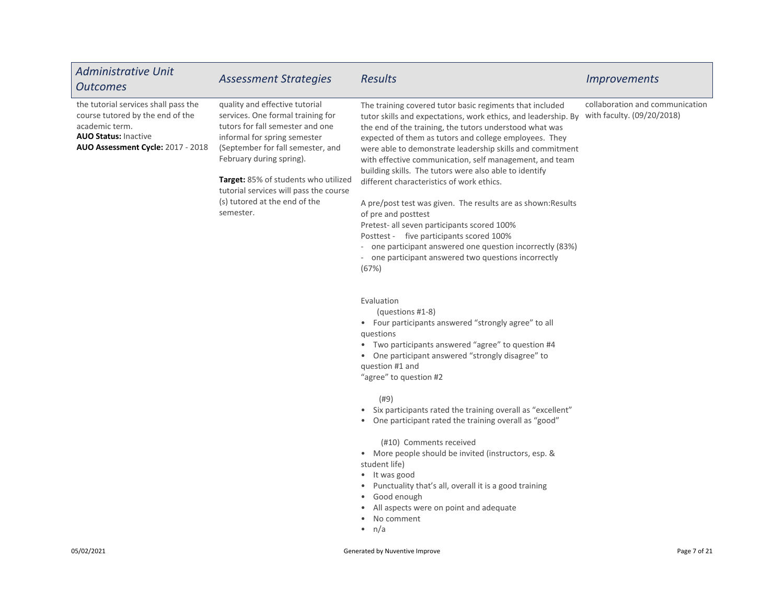| <b>Administrative Unit</b><br><b>Outcomes</b>                                                                                                                         | <b>Assessment Strategies</b>                                                                                                                                                                                                                                                                                                                    | <b>Results</b>                                                                                                                                                                                                                                                                                                                                                                                                                                                                                                                                                                                                                                                                                                                                                                                 | <i><u><b>Improvements</b></u></i>                             |
|-----------------------------------------------------------------------------------------------------------------------------------------------------------------------|-------------------------------------------------------------------------------------------------------------------------------------------------------------------------------------------------------------------------------------------------------------------------------------------------------------------------------------------------|------------------------------------------------------------------------------------------------------------------------------------------------------------------------------------------------------------------------------------------------------------------------------------------------------------------------------------------------------------------------------------------------------------------------------------------------------------------------------------------------------------------------------------------------------------------------------------------------------------------------------------------------------------------------------------------------------------------------------------------------------------------------------------------------|---------------------------------------------------------------|
| the tutorial services shall pass the<br>course tutored by the end of the<br>academic term.<br><b>AUO Status: Inactive</b><br><b>AUO Assessment Cycle: 2017 - 2018</b> | quality and effective tutorial<br>services. One formal training for<br>tutors for fall semester and one<br>informal for spring semester<br>(September for fall semester, and<br>February during spring).<br><b>Target:</b> 85% of students who utilized<br>tutorial services will pass the course<br>(s) tutored at the end of the<br>semester. | The training covered tutor basic regiments that included<br>tutor skills and expectations, work ethics, and leadership. By<br>the end of the training, the tutors understood what was<br>expected of them as tutors and college employees. They<br>were able to demonstrate leadership skills and commitment<br>with effective communication, self management, and team<br>building skills. The tutors were also able to identify<br>different characteristics of work ethics.<br>A pre/post test was given. The results are as shown: Results<br>of pre and posttest<br>Pretest- all seven participants scored 100%<br>Posttest - five participants scored 100%<br>- one participant answered one question incorrectly (83%)<br>- one participant answered two questions incorrectly<br>(67%) | collaboration and communication<br>with faculty. (09/20/2018) |
|                                                                                                                                                                       |                                                                                                                                                                                                                                                                                                                                                 | Evaluation<br>(questions #1-8)<br>• Four participants answered "strongly agree" to all<br>questions<br>• Two participants answered "agree" to question #4<br>• One participant answered "strongly disagree" to<br>question #1 and<br>"agree" to question #2                                                                                                                                                                                                                                                                                                                                                                                                                                                                                                                                    |                                                               |
|                                                                                                                                                                       |                                                                                                                                                                                                                                                                                                                                                 | (#9)<br>• Six participants rated the training overall as "excellent"<br>One participant rated the training overall as "good"<br>(#10) Comments received<br>• More people should be invited (instructors, esp. &<br>student life)<br>• It was good<br>• Punctuality that's all, overall it is a good training<br>• Good enough<br>All aspects were on point and adequate<br>No comment<br>$\bullet$<br>$\bullet$ n/a                                                                                                                                                                                                                                                                                                                                                                            |                                                               |
| 05/02/2021                                                                                                                                                            |                                                                                                                                                                                                                                                                                                                                                 | Generated by Nuventive Improve                                                                                                                                                                                                                                                                                                                                                                                                                                                                                                                                                                                                                                                                                                                                                                 | Page 7 of 21                                                  |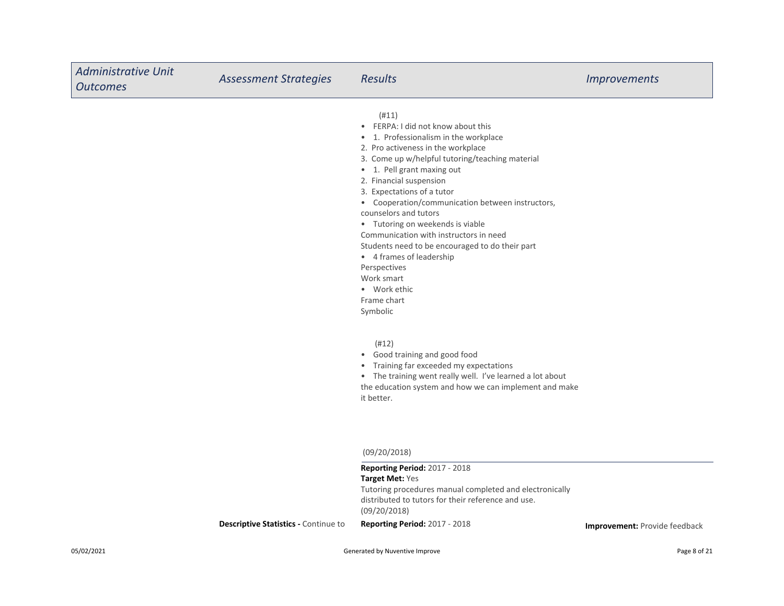| <b>Administrative Unit</b><br><b>Outcomes</b> | <b>Assessment Strategies</b>                | <b>Results</b>                                                                                                                                                                                                                                                                                                                                                                                                                                                                                                                                                                          | <b>Improvements</b>                  |
|-----------------------------------------------|---------------------------------------------|-----------------------------------------------------------------------------------------------------------------------------------------------------------------------------------------------------------------------------------------------------------------------------------------------------------------------------------------------------------------------------------------------------------------------------------------------------------------------------------------------------------------------------------------------------------------------------------------|--------------------------------------|
|                                               |                                             | (#11)<br>• FERPA: I did not know about this<br>• 1. Professionalism in the workplace<br>2. Pro activeness in the workplace<br>3. Come up w/helpful tutoring/teaching material<br>• 1. Pell grant maxing out<br>2. Financial suspension<br>3. Expectations of a tutor<br>• Cooperation/communication between instructors,<br>counselors and tutors<br>• Tutoring on weekends is viable<br>Communication with instructors in need<br>Students need to be encouraged to do their part<br>• 4 frames of leadership<br>Perspectives<br>Work smart<br>• Work ethic<br>Frame chart<br>Symbolic |                                      |
|                                               |                                             | (#12)<br>• Good training and good food<br>• Training far exceeded my expectations<br>• The training went really well. I've learned a lot about<br>the education system and how we can implement and make<br>it better.                                                                                                                                                                                                                                                                                                                                                                  |                                      |
|                                               |                                             | (09/20/2018)<br>Reporting Period: 2017 - 2018                                                                                                                                                                                                                                                                                                                                                                                                                                                                                                                                           |                                      |
|                                               |                                             | Target Met: Yes<br>Tutoring procedures manual completed and electronically<br>distributed to tutors for their reference and use.<br>(09/20/2018)                                                                                                                                                                                                                                                                                                                                                                                                                                        |                                      |
|                                               | <b>Descriptive Statistics - Continue to</b> | Reporting Period: 2017 - 2018                                                                                                                                                                                                                                                                                                                                                                                                                                                                                                                                                           | <b>Improvement:</b> Provide feedback |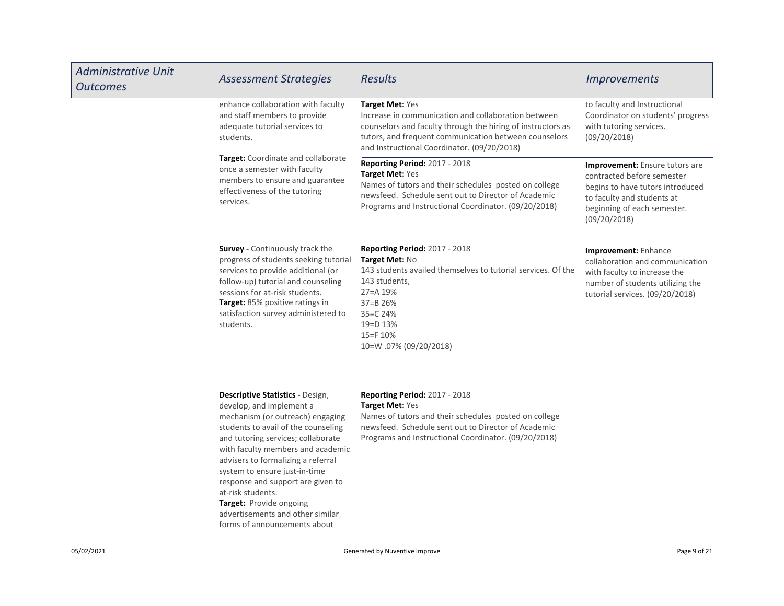| <b>Administrative Unit</b><br><b>Outcomes</b> | <b>Assessment Strategies</b>                                                                                                                                                                                                                                                         | <b>Results</b>                                                                                                                                                                                                                                | <i><u><b>Improvements</b></u></i>                                                                                                                                             |
|-----------------------------------------------|--------------------------------------------------------------------------------------------------------------------------------------------------------------------------------------------------------------------------------------------------------------------------------------|-----------------------------------------------------------------------------------------------------------------------------------------------------------------------------------------------------------------------------------------------|-------------------------------------------------------------------------------------------------------------------------------------------------------------------------------|
|                                               | enhance collaboration with faculty<br>and staff members to provide<br>adequate tutorial services to<br>students.                                                                                                                                                                     | Target Met: Yes<br>Increase in communication and collaboration between<br>counselors and faculty through the hiring of instructors as<br>tutors, and frequent communication between counselors<br>and Instructional Coordinator. (09/20/2018) | to faculty and Instructional<br>Coordinator on students' progress<br>with tutoring services.<br>(09/20/2018)                                                                  |
|                                               | Target: Coordinate and collaborate<br>once a semester with faculty<br>members to ensure and guarantee<br>effectiveness of the tutoring<br>services.                                                                                                                                  | <b>Reporting Period: 2017 - 2018</b><br>Target Met: Yes<br>Names of tutors and their schedules posted on college<br>newsfeed. Schedule sent out to Director of Academic<br>Programs and Instructional Coordinator. (09/20/2018)               | Improvement: Ensure tutors are<br>contracted before semester<br>begins to have tutors introduced<br>to faculty and students at<br>beginning of each semester.<br>(09/20/2018) |
|                                               | <b>Survey - Continuously track the</b><br>progress of students seeking tutorial<br>services to provide additional (or<br>follow-up) tutorial and counseling<br>sessions for at-risk students.<br>Target: 85% positive ratings in<br>satisfaction survey administered to<br>students. | <b>Reporting Period: 2017 - 2018</b><br>Target Met: No<br>143 students availed themselves to tutorial services. Of the<br>143 students,<br>27=A 19%<br>$37 = B$ 26%<br>35=C 24%<br>19=D 13%<br>15=F 10%<br>10=W.07% (09/20/2018)              | Improvement: Enhance<br>collaboration and communication<br>with faculty to increase the<br>number of students utilizing the<br>tutorial services. (09/20/2018)                |
|                                               | Descriptive Statistics - Design,<br>develop, and implement a<br>mechanism (or outreach) engaging<br>students to avail of the counseling                                                                                                                                              | <b>Reporting Period: 2017 - 2018</b><br>Target Met: Yes<br>Names of tutors and their schedules posted on college<br>newsfeed. Schedule sent out to Director of Academic                                                                       |                                                                                                                                                                               |

newsfeed. Schedule sent out to Director of Academic Programs and Instructional Coordinator. (09/20/2018)

Target: Provide ongoing advertisements and other similar forms of announcements about

at-risk students.

and tutoring services; collaborate with faculty members and academic advisers to formalizing a referral system to ensure just-in-time response and support are given to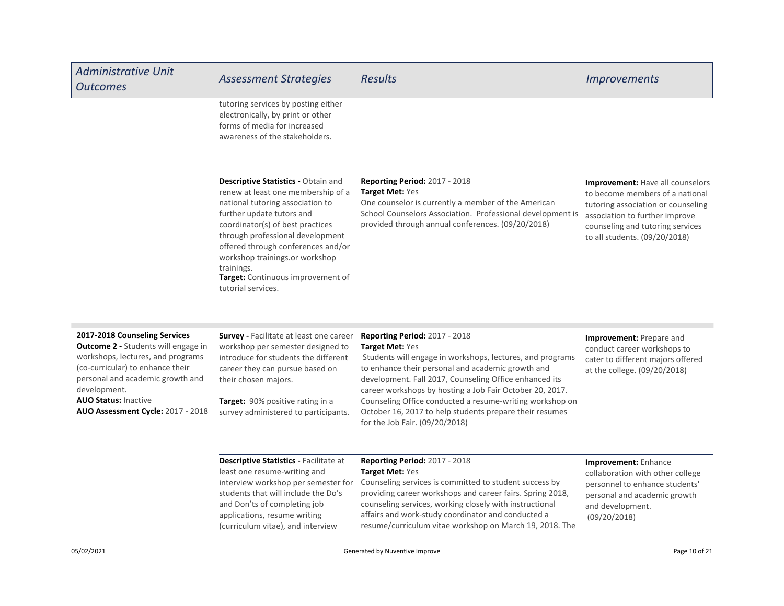| <b>Administrative Unit</b><br><b>Outcomes</b>                                                                  | <b>Assessment Strategies</b>                                                                                                                                                                                                                                                                                                                                               | <b>Results</b>                                                                                                                                                                                                                    | <i><u><b>Improvements</b></u></i>                                                                                                                                                                                       |
|----------------------------------------------------------------------------------------------------------------|----------------------------------------------------------------------------------------------------------------------------------------------------------------------------------------------------------------------------------------------------------------------------------------------------------------------------------------------------------------------------|-----------------------------------------------------------------------------------------------------------------------------------------------------------------------------------------------------------------------------------|-------------------------------------------------------------------------------------------------------------------------------------------------------------------------------------------------------------------------|
|                                                                                                                | tutoring services by posting either<br>electronically, by print or other<br>forms of media for increased<br>awareness of the stakeholders.                                                                                                                                                                                                                                 |                                                                                                                                                                                                                                   |                                                                                                                                                                                                                         |
|                                                                                                                | <b>Descriptive Statistics - Obtain and</b><br>renew at least one membership of a<br>national tutoring association to<br>further update tutors and<br>coordinator(s) of best practices<br>through professional development<br>offered through conferences and/or<br>workshop trainings.or workshop<br>trainings.<br>Target: Continuous improvement of<br>tutorial services. | <b>Reporting Period: 2017 - 2018</b><br>Target Met: Yes<br>One counselor is currently a member of the American<br>School Counselors Association. Professional development is<br>provided through annual conferences. (09/20/2018) | <b>Improvement: Have all counselors</b><br>to become members of a national<br>tutoring association or counseling<br>association to further improve<br>counseling and tutoring services<br>to all students. (09/20/2018) |
| 2017-2018 Counseling Services<br><b>Outcome 2 - Students will engage in</b><br>workshops lectures and programs | <b>Survey - Facilitate at least one career</b><br>workshop per semester designed to<br>introduce for students the different                                                                                                                                                                                                                                                | <b>Reporting Period: 2017 - 2018</b><br><b>Target Met: Yes</b><br>Students will engage in workshops lectures and programs                                                                                                         | Improvement: Prepare and<br>conduct career workshops to<br>antan ta aliffennan tarafana affanad                                                                                                                         |

hops, lectures, and progra (co-curricular) to enhance their personal and academic growth and development.

AUO Assessment Cycle: 2017 - 2018

duce for students the different career they can pursue based on their chosen majors.

AUO Status: Inactive Target: 90% positive rating in a survey administered to participants.

 Students will engage in workshops, lectures, and programs to enhance their personal and academic growth and development. Fall 2017, Counseling Office enhanced its career workshops by hosting a Job Fair October 20, 2017. Counseling Office conducted a resume-writing workshop on October 16, 2017 to help students prepare their resumes for the Job Fair. (09/20/2018)

## cater to different majors offered at the college. (09/20/2018)

Descriptive Statistics - Facilitate at least one resume-writing and interview workshop per semester for students that will include the Do's and Don'ts of completing job applications, resume writing (curriculum vitae), and interview

### Reporting Period: 2017 - 2018 Target Met: Yes

Counseling services is committed to student success by providing career workshops and career fairs. Spring 2018, counseling services, working closely with instructional affairs and work-study coordinator and conducted a resume/curriculum vitae workshop on March 19, 2018. The Improvement: Enhance collaboration with other college personnel to enhance students' personal and academic growth and development. (09/20/2018)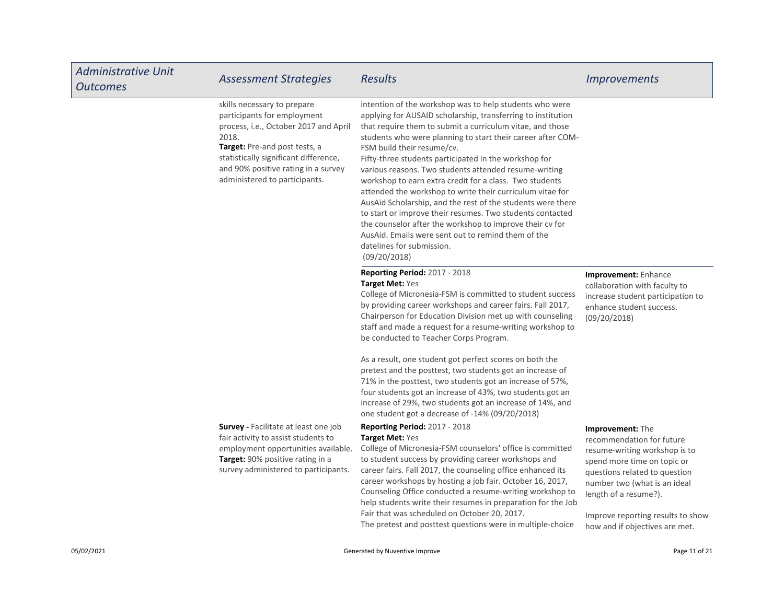| <b>Administrative Unit</b><br><b>Outcomes</b> | <b>Assessment Strategies</b>                                                                                                                                                                                                                                   | <b>Results</b>                                                                                                                                                                                                                                                                                                                                                                                                                                                                                                                                                                                                                                                                                                                                                                                                         | <b>Improvements</b>                                                                                                                                                                                                                                                            |
|-----------------------------------------------|----------------------------------------------------------------------------------------------------------------------------------------------------------------------------------------------------------------------------------------------------------------|------------------------------------------------------------------------------------------------------------------------------------------------------------------------------------------------------------------------------------------------------------------------------------------------------------------------------------------------------------------------------------------------------------------------------------------------------------------------------------------------------------------------------------------------------------------------------------------------------------------------------------------------------------------------------------------------------------------------------------------------------------------------------------------------------------------------|--------------------------------------------------------------------------------------------------------------------------------------------------------------------------------------------------------------------------------------------------------------------------------|
|                                               | skills necessary to prepare<br>participants for employment<br>process, i.e., October 2017 and April<br>2018.<br>Target: Pre-and post tests, a<br>statistically significant difference,<br>and 90% positive rating in a survey<br>administered to participants. | intention of the workshop was to help students who were<br>applying for AUSAID scholarship, transferring to institution<br>that require them to submit a curriculum vitae, and those<br>students who were planning to start their career after COM-<br>FSM build their resume/cv.<br>Fifty-three students participated in the workshop for<br>various reasons. Two students attended resume-writing<br>workshop to earn extra credit for a class. Two students<br>attended the workshop to write their curriculum vitae for<br>AusAid Scholarship, and the rest of the students were there<br>to start or improve their resumes. Two students contacted<br>the counselor after the workshop to improve their cv for<br>AusAid. Emails were sent out to remind them of the<br>datelines for submission.<br>(09/20/2018) |                                                                                                                                                                                                                                                                                |
|                                               |                                                                                                                                                                                                                                                                | Reporting Period: 2017 - 2018<br>Target Met: Yes<br>College of Micronesia-FSM is committed to student success<br>by providing career workshops and career fairs. Fall 2017,<br>Chairperson for Education Division met up with counseling<br>staff and made a request for a resume-writing workshop to<br>be conducted to Teacher Corps Program.                                                                                                                                                                                                                                                                                                                                                                                                                                                                        | Improvement: Enhance<br>collaboration with faculty to<br>increase student participation to<br>enhance student success.<br>(09/20/2018)                                                                                                                                         |
|                                               |                                                                                                                                                                                                                                                                | As a result, one student got perfect scores on both the<br>pretest and the posttest, two students got an increase of<br>71% in the posttest, two students got an increase of 57%,<br>four students got an increase of 43%, two students got an<br>increase of 29%, two students got an increase of 14%, and<br>one student got a decrease of -14% (09/20/2018)                                                                                                                                                                                                                                                                                                                                                                                                                                                         |                                                                                                                                                                                                                                                                                |
|                                               | <b>Survey - Facilitate at least one job</b><br>fair activity to assist students to<br>employment opportunities available.<br>Target: 90% positive rating in a<br>survey administered to participants.                                                          | <b>Reporting Period: 2017 - 2018</b><br>Target Met: Yes<br>College of Micronesia-FSM counselors' office is committed<br>to student success by providing career workshops and<br>career fairs. Fall 2017, the counseling office enhanced its<br>career workshops by hosting a job fair. October 16, 2017,<br>Counseling Office conducted a resume-writing workshop to<br>help students write their resumes in preparation for the Job<br>Fair that was scheduled on October 20, 2017.<br>The pretest and posttest questions were in multiple-choice                                                                                                                                                                                                                                                                     | Improvement: The<br>recommendation for future<br>resume-writing workshop is to<br>spend more time on topic or<br>questions related to question<br>number two (what is an ideal<br>length of a resume?).<br>Improve reporting results to show<br>how and if objectives are met. |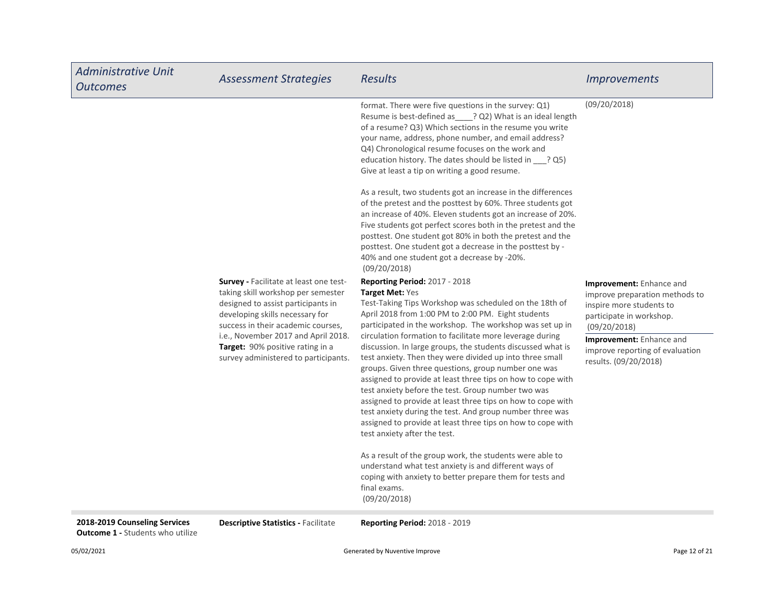| <b>Administrative Unit</b><br><b>Outcomes</b> | <b>Assessment Strategies</b>                                                                                                                                                                                                                                                                                   | Results                                                                                                                                                                                                                                                                                                                                                                                                                                                                                                                                                                                                                                                                                                                                                                                                                                 | <b>Improvements</b>                                                                                                                                                                                                        |
|-----------------------------------------------|----------------------------------------------------------------------------------------------------------------------------------------------------------------------------------------------------------------------------------------------------------------------------------------------------------------|-----------------------------------------------------------------------------------------------------------------------------------------------------------------------------------------------------------------------------------------------------------------------------------------------------------------------------------------------------------------------------------------------------------------------------------------------------------------------------------------------------------------------------------------------------------------------------------------------------------------------------------------------------------------------------------------------------------------------------------------------------------------------------------------------------------------------------------------|----------------------------------------------------------------------------------------------------------------------------------------------------------------------------------------------------------------------------|
|                                               |                                                                                                                                                                                                                                                                                                                | format. There were five questions in the survey: Q1)<br>Resume is best-defined as ____? Q2) What is an ideal length<br>of a resume? Q3) Which sections in the resume you write<br>your name, address, phone number, and email address?<br>Q4) Chronological resume focuses on the work and<br>education history. The dates should be listed in ___? Q5)<br>Give at least a tip on writing a good resume.                                                                                                                                                                                                                                                                                                                                                                                                                                | (09/20/2018)                                                                                                                                                                                                               |
|                                               |                                                                                                                                                                                                                                                                                                                | As a result, two students got an increase in the differences<br>of the pretest and the posttest by 60%. Three students got<br>an increase of 40%. Eleven students got an increase of 20%.<br>Five students got perfect scores both in the pretest and the<br>posttest. One student got 80% in both the pretest and the<br>posttest. One student got a decrease in the posttest by -<br>40% and one student got a decrease by -20%.<br>(09/20/2018)                                                                                                                                                                                                                                                                                                                                                                                      |                                                                                                                                                                                                                            |
|                                               | Survey - Facilitate at least one test-<br>taking skill workshop per semester<br>designed to assist participants in<br>developing skills necessary for<br>success in their academic courses,<br>i.e., November 2017 and April 2018.<br>Target: 90% positive rating in a<br>survey administered to participants. | <b>Reporting Period: 2017 - 2018</b><br><b>Target Met: Yes</b><br>Test-Taking Tips Workshop was scheduled on the 18th of<br>April 2018 from 1:00 PM to 2:00 PM. Eight students<br>participated in the workshop. The workshop was set up in<br>circulation formation to facilitate more leverage during<br>discussion. In large groups, the students discussed what is<br>test anxiety. Then they were divided up into three small<br>groups. Given three questions, group number one was<br>assigned to provide at least three tips on how to cope with<br>test anxiety before the test. Group number two was<br>assigned to provide at least three tips on how to cope with<br>test anxiety during the test. And group number three was<br>assigned to provide at least three tips on how to cope with<br>test anxiety after the test. | Improvement: Enhance and<br>improve preparation methods to<br>inspire more students to<br>participate in workshop.<br>(09/20/2018)<br>Improvement: Enhance and<br>improve reporting of evaluation<br>results. (09/20/2018) |
|                                               |                                                                                                                                                                                                                                                                                                                | As a result of the group work, the students were able to<br>understand what test anxiety is and different ways of<br>coping with anxiety to better prepare them for tests and<br>final exams.<br>(09/20/2018)                                                                                                                                                                                                                                                                                                                                                                                                                                                                                                                                                                                                                           |                                                                                                                                                                                                                            |

**Outcome 1 - Students who utilize** 

2018-2019 Counseling Services Descriptive Statistics - Facilitate Reporting Period: 2018 - 2019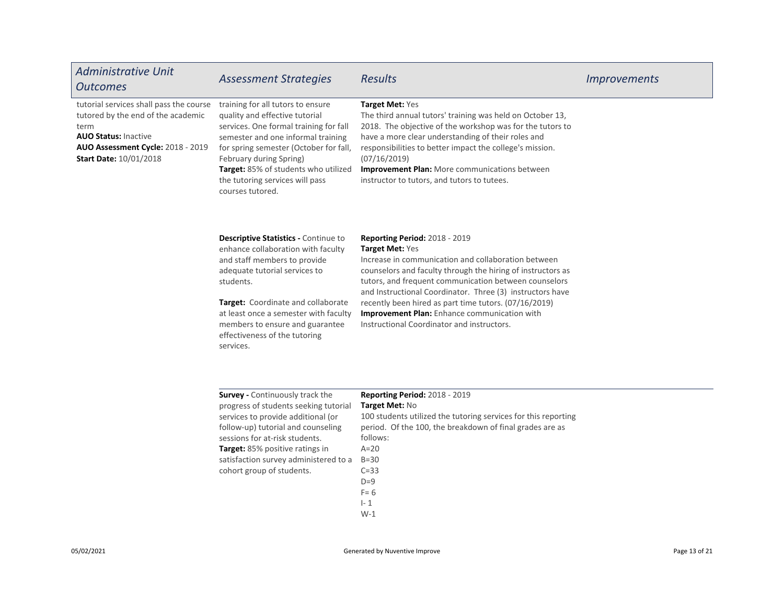| <b>Administrative Unit</b><br><b>Outcomes</b>                                                                                                                                              | <b>Assessment Strategies</b>                                                                                                                                                                                                                                                                                             | <b>Results</b>                                                                                                                                                                                                                                                                                                                                                                                                                                             | <i>Improvements</i> |
|--------------------------------------------------------------------------------------------------------------------------------------------------------------------------------------------|--------------------------------------------------------------------------------------------------------------------------------------------------------------------------------------------------------------------------------------------------------------------------------------------------------------------------|------------------------------------------------------------------------------------------------------------------------------------------------------------------------------------------------------------------------------------------------------------------------------------------------------------------------------------------------------------------------------------------------------------------------------------------------------------|---------------------|
| tutorial services shall pass the course<br>tutored by the end of the academic<br>term<br><b>AUO Status: Inactive</b><br>AUO Assessment Cycle: 2018 - 2019<br><b>Start Date: 10/01/2018</b> | training for all tutors to ensure<br>quality and effective tutorial<br>services. One formal training for fall<br>semester and one informal training<br>for spring semester (October for fall,<br>February during Spring)<br>Target: 85% of students who utilized<br>the tutoring services will pass<br>courses tutored.  | Target Met: Yes<br>The third annual tutors' training was held on October 13,<br>2018. The objective of the workshop was for the tutors to<br>have a more clear understanding of their roles and<br>responsibilities to better impact the college's mission.<br>(07/16/2019)<br><b>Improvement Plan:</b> More communications between<br>instructor to tutors, and tutors to tutees.                                                                         |                     |
|                                                                                                                                                                                            | Descriptive Statistics - Continue to<br>enhance collaboration with faculty<br>and staff members to provide<br>adequate tutorial services to<br>students.<br>Target: Coordinate and collaborate<br>at least once a semester with faculty<br>members to ensure and guarantee<br>effectiveness of the tutoring<br>services. | <b>Reporting Period: 2018 - 2019</b><br>Target Met: Yes<br>Increase in communication and collaboration between<br>counselors and faculty through the hiring of instructors as<br>tutors, and frequent communication between counselors<br>and Instructional Coordinator. Three (3) instructors have<br>recently been hired as part time tutors. (07/16/2019)<br>Improvement Plan: Enhance communication with<br>Instructional Coordinator and instructors. |                     |
|                                                                                                                                                                                            | <b>Survey - Continuously track the</b><br>progress of students seeking tutorial<br>services to provide additional (or<br>follow-up) tutorial and counseling<br>sessions for at-risk students.<br>Target: 85% positive ratings in<br>satisfaction survey administered to a<br>cohort group of students.                   | <b>Reporting Period: 2018 - 2019</b><br>Target Met: No<br>100 students utilized the tutoring services for this reporting<br>period. Of the 100, the breakdown of final grades are as<br>follows:<br>$A=20$<br>$B=30$<br>$C=33$                                                                                                                                                                                                                             |                     |

 $D=9$  $F= 6$ I- 1 W-1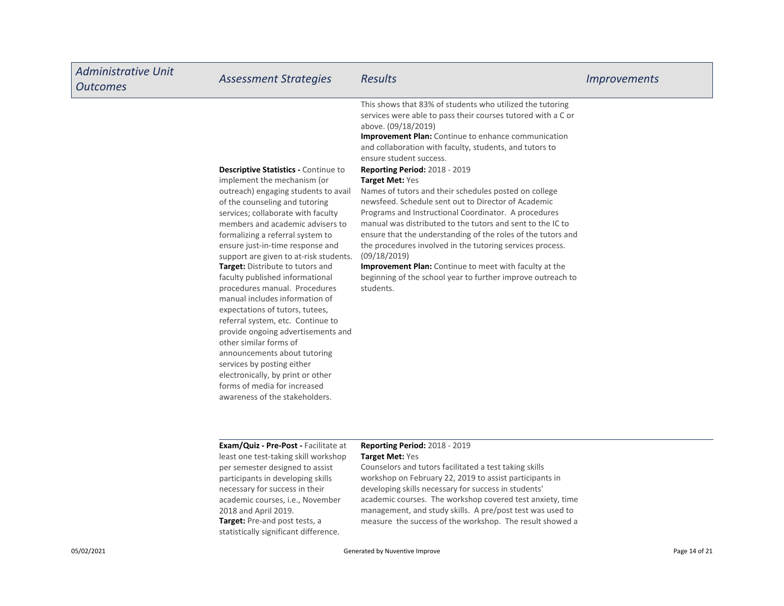| <b>Administrative Unit</b><br><b>Outcomes</b> | <b>Assessment Strategies</b>                                                                                                                                                                                                                                                                                                                                                                                                                                                                                                                                                                                                                                                                                                                                                                            | <b>Results</b>                                                                                                                                                                                                                                                                                                                                                                                                                                                                                                                                                                                                                                                                                                                                                                                                                                                                           | <i>Improvements</i> |
|-----------------------------------------------|---------------------------------------------------------------------------------------------------------------------------------------------------------------------------------------------------------------------------------------------------------------------------------------------------------------------------------------------------------------------------------------------------------------------------------------------------------------------------------------------------------------------------------------------------------------------------------------------------------------------------------------------------------------------------------------------------------------------------------------------------------------------------------------------------------|------------------------------------------------------------------------------------------------------------------------------------------------------------------------------------------------------------------------------------------------------------------------------------------------------------------------------------------------------------------------------------------------------------------------------------------------------------------------------------------------------------------------------------------------------------------------------------------------------------------------------------------------------------------------------------------------------------------------------------------------------------------------------------------------------------------------------------------------------------------------------------------|---------------------|
|                                               | <b>Descriptive Statistics - Continue to</b><br>implement the mechanism (or<br>outreach) engaging students to avail<br>of the counseling and tutoring<br>services; collaborate with faculty<br>members and academic advisers to<br>formalizing a referral system to<br>ensure just-in-time response and<br>support are given to at-risk students.<br>Target: Distribute to tutors and<br>faculty published informational<br>procedures manual. Procedures<br>manual includes information of<br>expectations of tutors, tutees,<br>referral system, etc. Continue to<br>provide ongoing advertisements and<br>other similar forms of<br>announcements about tutoring<br>services by posting either<br>electronically, by print or other<br>forms of media for increased<br>awareness of the stakeholders. | This shows that 83% of students who utilized the tutoring<br>services were able to pass their courses tutored with a C or<br>above. (09/18/2019)<br><b>Improvement Plan:</b> Continue to enhance communication<br>and collaboration with faculty, students, and tutors to<br>ensure student success.<br><b>Reporting Period: 2018 - 2019</b><br>Target Met: Yes<br>Names of tutors and their schedules posted on college<br>newsfeed. Schedule sent out to Director of Academic<br>Programs and Instructional Coordinator. A procedures<br>manual was distributed to the tutors and sent to the IC to<br>ensure that the understanding of the roles of the tutors and<br>the procedures involved in the tutoring services process.<br>(09/18/2019)<br>Improvement Plan: Continue to meet with faculty at the<br>beginning of the school year to further improve outreach to<br>students. |                     |
|                                               | Exam/Quiz - Pre-Post - Facilitate at<br>least one test-taking skill workshop<br>per semester designed to assist<br>participants in developing skills                                                                                                                                                                                                                                                                                                                                                                                                                                                                                                                                                                                                                                                    | <b>Reporting Period: 2018 - 2019</b><br>Target Met: Yes<br>Counselors and tutors facilitated a test taking skills<br>workshop on February 22, 2019 to assist participants in                                                                                                                                                                                                                                                                                                                                                                                                                                                                                                                                                                                                                                                                                                             |                     |

Target: Pre-and post tests, a statistically significant difference. developing skills necessary for success in students' academic courses. The workshop covered test anxiety, time management, and study skills. A pre/post test was used to measure the success of the workshop. The result showed a necessary for success in their academic courses, i.e., November

2018 and April 2019.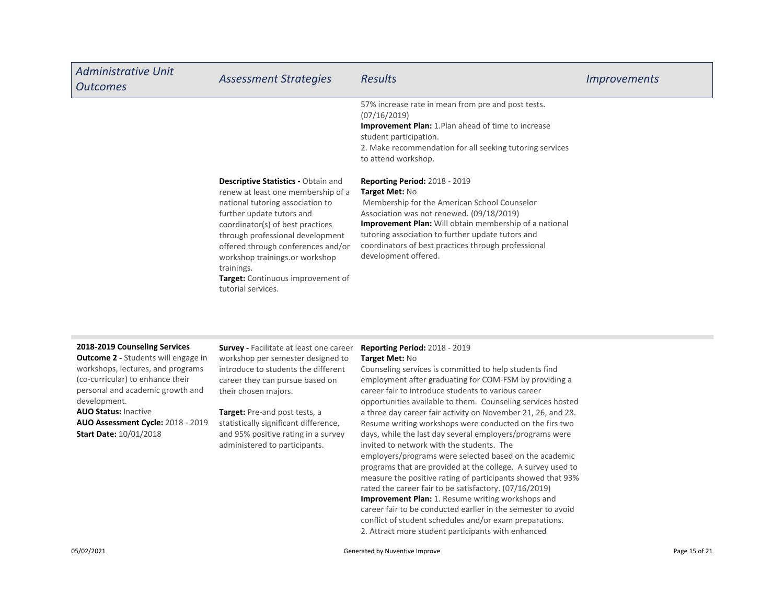| Administrative Unit<br><b>Outcomes</b> | <b>Assessment Strategies</b>                                                                                                                                                                                                                                                                                                                                                      | <b>Results</b>                                                                                                                                                                                                                                                                                                                                           | <i><u><b>Improvements</b></u></i> |
|----------------------------------------|-----------------------------------------------------------------------------------------------------------------------------------------------------------------------------------------------------------------------------------------------------------------------------------------------------------------------------------------------------------------------------------|----------------------------------------------------------------------------------------------------------------------------------------------------------------------------------------------------------------------------------------------------------------------------------------------------------------------------------------------------------|-----------------------------------|
|                                        |                                                                                                                                                                                                                                                                                                                                                                                   | 57% increase rate in mean from pre and post tests.<br>(07/16/2019)<br><b>Improvement Plan:</b> 1. Plan ahead of time to increase<br>student participation.<br>2. Make recommendation for all seeking tutoring services<br>to attend workshop.                                                                                                            |                                   |
|                                        | <b>Descriptive Statistics - Obtain and</b><br>renew at least one membership of a<br>national tutoring association to<br>further update tutors and<br>coordinator(s) of best practices<br>through professional development<br>offered through conferences and/or<br>workshop trainings.or workshop<br>trainings.<br><b>Target:</b> Continuous improvement of<br>tutorial services. | <b>Reporting Period: 2018 - 2019</b><br>Target Met: No<br>Membership for the American School Counselor<br>Association was not renewed. (09/18/2019)<br><b>Improvement Plan:</b> Will obtain membership of a national<br>tutoring association to further update tutors and<br>coordinators of best practices through professional<br>development offered. |                                   |

#### 2018-2019 Counseling Services

AUO Status: Inactive Target: Pre-and post tests, a **Outcome 2 - Students will engage in** workshops, lectures, and programs (co-curricular) to enhance their personal and academic growth and development.

AUO Assessment Cycle: 2018 - 2019 Start Date: 10/01/2018

**Survey - Facilitate at least one career** workshop per semester designed to introduce to students the different career they can pursue based on their chosen majors.

statistically significant difference, and 95% positive rating in a survey administered to participants.

### Reporting Period: 2018 - 2019 Target Met: No

Improvement Plan: 1. Resume writing workshops and career fair to be conducted earlier in the semester to avoid conflict of student schedules and/or exam preparations. 2. Attract more student participants with enhanced Counseling services is committed to help students find employment after graduating for COM-FSM by providing a career fair to introduce students to various career opportunities available to them. Counseling services hosted a three day career fair activity on November 21, 26, and 28. Resume writing workshops were conducted on the firs two days, while the last day several employers/programs were invited to network with the students. The employers/programs were selected based on the academic programs that are provided at the college. A survey used to measure the positive rating of participants showed that 93% rated the career fair to be satisfactory. (07/16/2019)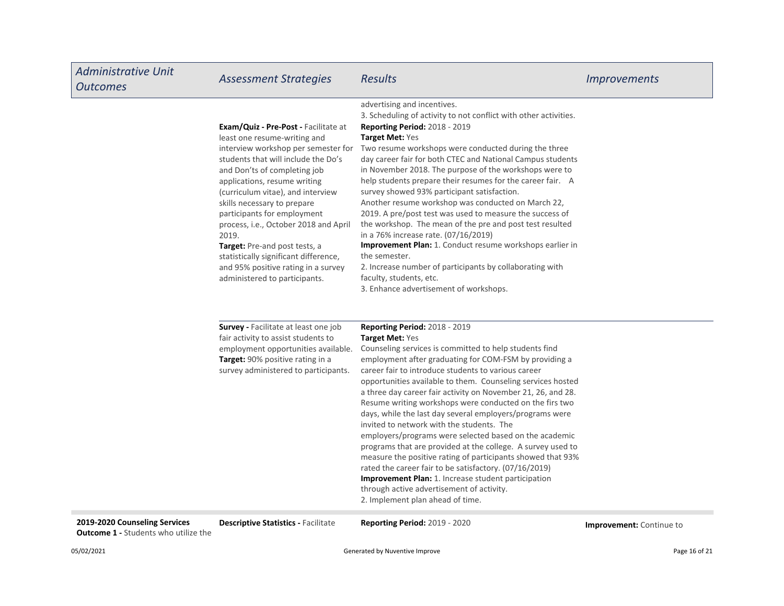| <b>Administrative Unit</b><br><b>Outcomes</b> | <b>Assessment Strategies</b>                                                                                                                                                                                                                                                                                                                                                                                                                                                                                              | <b>Results</b>                                                                                                                                                                                                                                                                                                                                                                                                                                                                                                                                                                                                                                                                                                                                                                                                                                                                                                                  | <i>Improvements</i> |
|-----------------------------------------------|---------------------------------------------------------------------------------------------------------------------------------------------------------------------------------------------------------------------------------------------------------------------------------------------------------------------------------------------------------------------------------------------------------------------------------------------------------------------------------------------------------------------------|---------------------------------------------------------------------------------------------------------------------------------------------------------------------------------------------------------------------------------------------------------------------------------------------------------------------------------------------------------------------------------------------------------------------------------------------------------------------------------------------------------------------------------------------------------------------------------------------------------------------------------------------------------------------------------------------------------------------------------------------------------------------------------------------------------------------------------------------------------------------------------------------------------------------------------|---------------------|
|                                               | Exam/Quiz - Pre-Post - Facilitate at<br>least one resume-writing and<br>interview workshop per semester for<br>students that will include the Do's<br>and Don'ts of completing job<br>applications, resume writing<br>(curriculum vitae), and interview<br>skills necessary to prepare<br>participants for employment<br>process, i.e., October 2018 and April<br>2019.<br>Target: Pre-and post tests, a<br>statistically significant difference,<br>and 95% positive rating in a survey<br>administered to participants. | advertising and incentives.<br>3. Scheduling of activity to not conflict with other activities.<br><b>Reporting Period: 2018 - 2019</b><br>Target Met: Yes<br>Two resume workshops were conducted during the three<br>day career fair for both CTEC and National Campus students<br>in November 2018. The purpose of the workshops were to<br>help students prepare their resumes for the career fair. A<br>survey showed 93% participant satisfaction.<br>Another resume workshop was conducted on March 22,<br>2019. A pre/post test was used to measure the success of<br>the workshop. The mean of the pre and post test resulted<br>in a 76% increase rate. (07/16/2019)<br>Improvement Plan: 1. Conduct resume workshops earlier in<br>the semester.<br>2. Increase number of participants by collaborating with<br>faculty, students, etc.<br>3. Enhance advertisement of workshops.                                     |                     |
|                                               | Survey - Facilitate at least one job<br>fair activity to assist students to<br>employment opportunities available.<br>Target: 90% positive rating in a<br>survey administered to participants.                                                                                                                                                                                                                                                                                                                            | Reporting Period: 2018 - 2019<br><b>Target Met: Yes</b><br>Counseling services is committed to help students find<br>employment after graduating for COM-FSM by providing a<br>career fair to introduce students to various career<br>opportunities available to them. Counseling services hosted<br>a three day career fair activity on November 21, 26, and 28.<br>Resume writing workshops were conducted on the firs two<br>days, while the last day several employers/programs were<br>invited to network with the students. The<br>employers/programs were selected based on the academic<br>programs that are provided at the college. A survey used to<br>measure the positive rating of participants showed that 93%<br>rated the career fair to be satisfactory. (07/16/2019)<br>Improvement Plan: 1. Increase student participation<br>through active advertisement of activity.<br>2. Implement plan ahead of time. |                     |

2019-2020 Counseling Services **Descriptive Statistics - Facilitate** Reporting Period: 2019 - 2020 **Provement: Continue to Outcome 1 - Students who utilize the**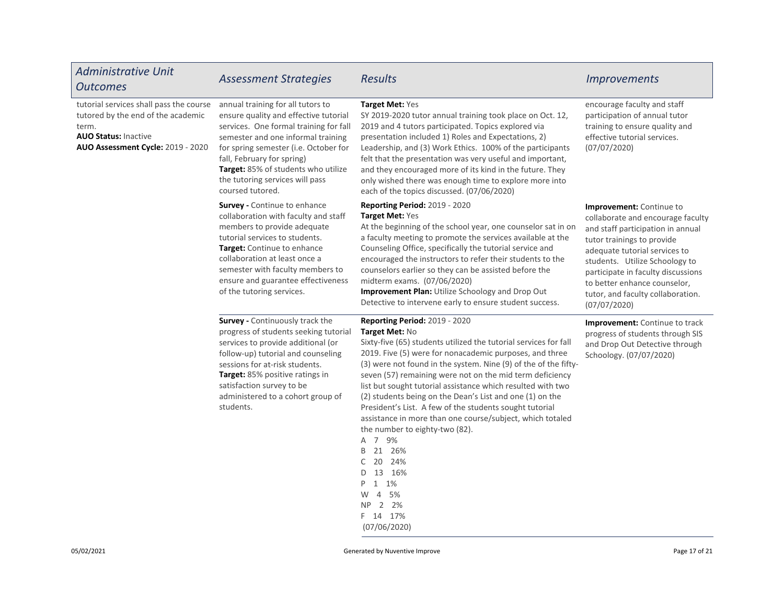| <b>Administrative Unit</b><br><b>Outcomes</b>                                                                                                              | <b>Assessment Strategies</b>                                                                                                                                                                                                                                                                                                    | <b>Results</b>                                                                                                                                                                                                                                                                                                                                                                                                                                                                                                                                                                                                                                                                                                                          | <b>Improvements</b>                                                                                                                                                                                                                                                                                                                   |
|------------------------------------------------------------------------------------------------------------------------------------------------------------|---------------------------------------------------------------------------------------------------------------------------------------------------------------------------------------------------------------------------------------------------------------------------------------------------------------------------------|-----------------------------------------------------------------------------------------------------------------------------------------------------------------------------------------------------------------------------------------------------------------------------------------------------------------------------------------------------------------------------------------------------------------------------------------------------------------------------------------------------------------------------------------------------------------------------------------------------------------------------------------------------------------------------------------------------------------------------------------|---------------------------------------------------------------------------------------------------------------------------------------------------------------------------------------------------------------------------------------------------------------------------------------------------------------------------------------|
| tutorial services shall pass the course<br>tutored by the end of the academic<br>term.<br><b>AUO Status: Inactive</b><br>AUO Assessment Cycle: 2019 - 2020 | annual training for all tutors to<br>ensure quality and effective tutorial<br>services. One formal training for fall<br>semester and one informal training<br>for spring semester (i.e. October for<br>fall, February for spring)<br>Target: 85% of students who utilize<br>the tutoring services will pass<br>coursed tutored. | Target Met: Yes<br>SY 2019-2020 tutor annual training took place on Oct. 12,<br>2019 and 4 tutors participated. Topics explored via<br>presentation included 1) Roles and Expectations, 2)<br>Leadership, and (3) Work Ethics. 100% of the participants<br>felt that the presentation was very useful and important,<br>and they encouraged more of its kind in the future. They<br>only wished there was enough time to explore more into<br>each of the topics discussed. (07/06/2020)                                                                                                                                                                                                                                                | encourage faculty and staff<br>participation of annual tutor<br>training to ensure quality and<br>effective tutorial services.<br>(07/07/2020)                                                                                                                                                                                        |
|                                                                                                                                                            | <b>Survey - Continue to enhance</b><br>collaboration with faculty and staff<br>members to provide adequate<br>tutorial services to students.<br>Target: Continue to enhance<br>collaboration at least once a<br>semester with faculty members to<br>ensure and guarantee effectiveness<br>of the tutoring services.             | <b>Reporting Period: 2019 - 2020</b><br><b>Target Met: Yes</b><br>At the beginning of the school year, one counselor sat in on<br>a faculty meeting to promote the services available at the<br>Counseling Office, specifically the tutorial service and<br>encouraged the instructors to refer their students to the<br>counselors earlier so they can be assisted before the<br>midterm exams. (07/06/2020)<br>Improvement Plan: Utilize Schoology and Drop Out<br>Detective to intervene early to ensure student success.                                                                                                                                                                                                            | <b>Improvement:</b> Continue to<br>collaborate and encourage faculty<br>and staff participation in annual<br>tutor trainings to provide<br>adequate tutorial services to<br>students. Utilize Schoology to<br>participate in faculty discussions<br>to better enhance counselor,<br>tutor, and faculty collaboration.<br>(07/07/2020) |
|                                                                                                                                                            | <b>Survey - Continuously track the</b><br>progress of students seeking tutorial<br>services to provide additional (or<br>follow-up) tutorial and counseling<br>sessions for at-risk students.<br>Target: 85% positive ratings in<br>satisfaction survey to be<br>administered to a cohort group of<br>students.                 | <b>Reporting Period: 2019 - 2020</b><br>Target Met: No<br>Sixty-five (65) students utilized the tutorial services for fall<br>2019. Five (5) were for nonacademic purposes, and three<br>(3) were not found in the system. Nine (9) of the of the fifty-<br>seven (57) remaining were not on the mid term deficiency<br>list but sought tutorial assistance which resulted with two<br>(2) students being on the Dean's List and one (1) on the<br>President's List. A few of the students sought tutorial<br>assistance in more than one course/subject, which totaled<br>the number to eighty-two (82).<br>A 7 9%<br>B 21 26%<br>20 24%<br>D 13 16%<br>P 1 1%<br>$\overline{4}$<br>5%<br>W<br>2 2%<br>NP.<br>F 14 17%<br>(07/06/2020) | <b>Improvement:</b> Continue to track<br>progress of students through SIS<br>and Drop Out Detective through<br>Schoology. (07/07/2020)                                                                                                                                                                                                |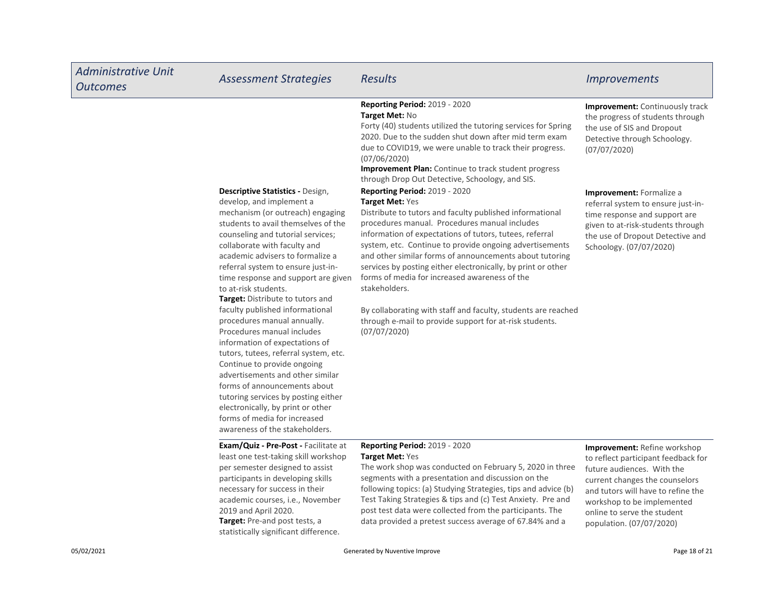| <b>Administrative Unit</b><br><b>Outcomes</b> | <b>Assessment Strategies</b>                                                                                                                                                                                                                                                                                                                                                                                                                                                                                                                                                                                                                                                                                                                                                                                          | <b>Results</b>                                                                                                                                                                                                                                                                                                                                                                                                                                                                                                                                                                                                                      | <b>Improvements</b>                                                                                                                                                                                                                                                       |
|-----------------------------------------------|-----------------------------------------------------------------------------------------------------------------------------------------------------------------------------------------------------------------------------------------------------------------------------------------------------------------------------------------------------------------------------------------------------------------------------------------------------------------------------------------------------------------------------------------------------------------------------------------------------------------------------------------------------------------------------------------------------------------------------------------------------------------------------------------------------------------------|-------------------------------------------------------------------------------------------------------------------------------------------------------------------------------------------------------------------------------------------------------------------------------------------------------------------------------------------------------------------------------------------------------------------------------------------------------------------------------------------------------------------------------------------------------------------------------------------------------------------------------------|---------------------------------------------------------------------------------------------------------------------------------------------------------------------------------------------------------------------------------------------------------------------------|
|                                               |                                                                                                                                                                                                                                                                                                                                                                                                                                                                                                                                                                                                                                                                                                                                                                                                                       | <b>Reporting Period: 2019 - 2020</b><br>Target Met: No<br>Forty (40) students utilized the tutoring services for Spring<br>2020. Due to the sudden shut down after mid term exam<br>due to COVID19, we were unable to track their progress.<br>(07/06/2020)<br>Improvement Plan: Continue to track student progress<br>through Drop Out Detective, Schoology, and SIS.                                                                                                                                                                                                                                                              | <b>Improvement:</b> Continuously track<br>the progress of students through<br>the use of SIS and Dropout<br>Detective through Schoology.<br>(07/07/2020)                                                                                                                  |
|                                               | Descriptive Statistics - Design,<br>develop, and implement a<br>mechanism (or outreach) engaging<br>students to avail themselves of the<br>counseling and tutorial services;<br>collaborate with faculty and<br>academic advisers to formalize a<br>referral system to ensure just-in-<br>time response and support are given<br>to at-risk students.<br>Target: Distribute to tutors and<br>faculty published informational<br>procedures manual annually.<br>Procedures manual includes<br>information of expectations of<br>tutors, tutees, referral system, etc.<br>Continue to provide ongoing<br>advertisements and other similar<br>forms of announcements about<br>tutoring services by posting either<br>electronically, by print or other<br>forms of media for increased<br>awareness of the stakeholders. | <b>Reporting Period: 2019 - 2020</b><br>Target Met: Yes<br>Distribute to tutors and faculty published informational<br>procedures manual. Procedures manual includes<br>information of expectations of tutors, tutees, referral<br>system, etc. Continue to provide ongoing advertisements<br>and other similar forms of announcements about tutoring<br>services by posting either electronically, by print or other<br>forms of media for increased awareness of the<br>stakeholders.<br>By collaborating with staff and faculty, students are reached<br>through e-mail to provide support for at-risk students.<br>(07/07/2020) | Improvement: Formalize a<br>referral system to ensure just-in-<br>time response and support are<br>given to at-risk-students through<br>the use of Dropout Detective and<br>Schoology. (07/07/2020)                                                                       |
|                                               | <b>Exam/Quiz - Pre-Post - Facilitate at</b><br>least one test-taking skill workshop<br>per semester designed to assist<br>participants in developing skills<br>necessary for success in their<br>academic courses, i.e., November<br>2019 and April 2020.<br>Target: Pre-and post tests, a<br>statistically significant difference.                                                                                                                                                                                                                                                                                                                                                                                                                                                                                   | <b>Reporting Period: 2019 - 2020</b><br>Target Met: Yes<br>The work shop was conducted on February 5, 2020 in three<br>segments with a presentation and discussion on the<br>following topics: (a) Studying Strategies, tips and advice (b)<br>Test Taking Strategies & tips and (c) Test Anxiety. Pre and<br>post test data were collected from the participants. The<br>data provided a pretest success average of 67.84% and a                                                                                                                                                                                                   | <b>Improvement:</b> Refine workshop<br>to reflect participant feedback for<br>future audiences. With the<br>current changes the counselors<br>and tutors will have to refine the<br>workshop to be implemented<br>online to serve the student<br>population. (07/07/2020) |
| 05/02/2021                                    |                                                                                                                                                                                                                                                                                                                                                                                                                                                                                                                                                                                                                                                                                                                                                                                                                       | Generated by Nuventive Improve                                                                                                                                                                                                                                                                                                                                                                                                                                                                                                                                                                                                      | Page 18 of 21                                                                                                                                                                                                                                                             |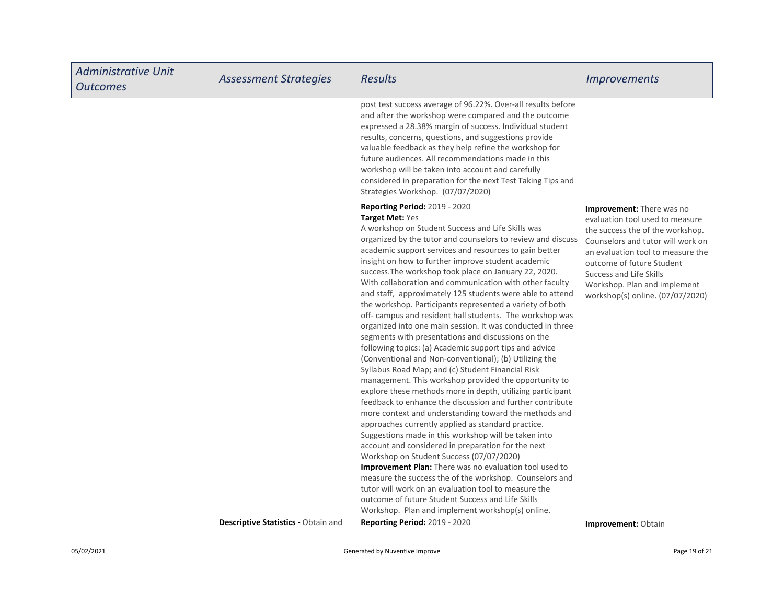| <b>Administrative Unit</b><br><b>Outcomes</b> | <b>Assessment Strategies</b>        | <b>Results</b>                                                                                                                                                                                                                                                                                                                                                                                                                                                                                                                                                                                                                                                                                                                                                                                                                                                                                                                                                                                                                                                                                                                                                                                                                                                                                                                                                                                                                                                                                                                                                                                                                               | <i><u><b>Improvements</b></u></i>                                                                                                                                                                                                                                                                      |
|-----------------------------------------------|-------------------------------------|----------------------------------------------------------------------------------------------------------------------------------------------------------------------------------------------------------------------------------------------------------------------------------------------------------------------------------------------------------------------------------------------------------------------------------------------------------------------------------------------------------------------------------------------------------------------------------------------------------------------------------------------------------------------------------------------------------------------------------------------------------------------------------------------------------------------------------------------------------------------------------------------------------------------------------------------------------------------------------------------------------------------------------------------------------------------------------------------------------------------------------------------------------------------------------------------------------------------------------------------------------------------------------------------------------------------------------------------------------------------------------------------------------------------------------------------------------------------------------------------------------------------------------------------------------------------------------------------------------------------------------------------|--------------------------------------------------------------------------------------------------------------------------------------------------------------------------------------------------------------------------------------------------------------------------------------------------------|
|                                               |                                     | post test success average of 96.22%. Over-all results before<br>and after the workshop were compared and the outcome<br>expressed a 28.38% margin of success. Individual student<br>results, concerns, questions, and suggestions provide<br>valuable feedback as they help refine the workshop for<br>future audiences. All recommendations made in this<br>workshop will be taken into account and carefully<br>considered in preparation for the next Test Taking Tips and<br>Strategies Workshop. (07/07/2020)                                                                                                                                                                                                                                                                                                                                                                                                                                                                                                                                                                                                                                                                                                                                                                                                                                                                                                                                                                                                                                                                                                                           |                                                                                                                                                                                                                                                                                                        |
|                                               |                                     | Reporting Period: 2019 - 2020<br>Target Met: Yes<br>A workshop on Student Success and Life Skills was<br>organized by the tutor and counselors to review and discuss<br>academic support services and resources to gain better<br>insight on how to further improve student academic<br>success. The workshop took place on January 22, 2020.<br>With collaboration and communication with other faculty<br>and staff, approximately 125 students were able to attend<br>the workshop. Participants represented a variety of both<br>off-campus and resident hall students. The workshop was<br>organized into one main session. It was conducted in three<br>segments with presentations and discussions on the<br>following topics: (a) Academic support tips and advice<br>(Conventional and Non-conventional); (b) Utilizing the<br>Syllabus Road Map; and (c) Student Financial Risk<br>management. This workshop provided the opportunity to<br>explore these methods more in depth, utilizing participant<br>feedback to enhance the discussion and further contribute<br>more context and understanding toward the methods and<br>approaches currently applied as standard practice.<br>Suggestions made in this workshop will be taken into<br>account and considered in preparation for the next<br>Workshop on Student Success (07/07/2020)<br>Improvement Plan: There was no evaluation tool used to<br>measure the success the of the workshop. Counselors and<br>tutor will work on an evaluation tool to measure the<br>outcome of future Student Success and Life Skills<br>Workshop. Plan and implement workshop(s) online. | Improvement: There was no<br>evaluation tool used to measure<br>the success the of the workshop.<br>Counselors and tutor will work on<br>an evaluation tool to measure the<br>outcome of future Student<br>Success and Life Skills<br>Workshop. Plan and implement<br>workshop(s) online. (07/07/2020) |
|                                               | Descriptive Statistics - Obtain and | <b>Reporting Period: 2019 - 2020</b>                                                                                                                                                                                                                                                                                                                                                                                                                                                                                                                                                                                                                                                                                                                                                                                                                                                                                                                                                                                                                                                                                                                                                                                                                                                                                                                                                                                                                                                                                                                                                                                                         | <b>Improvement: Obtain</b>                                                                                                                                                                                                                                                                             |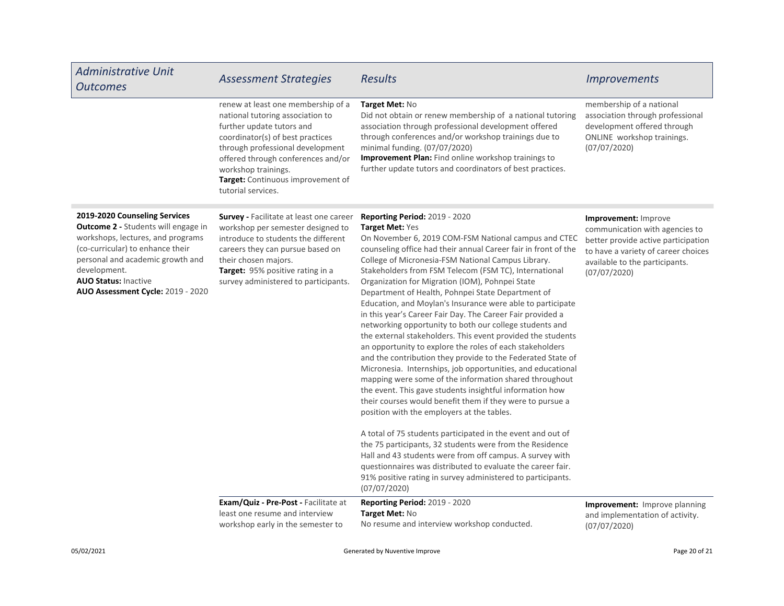| <b>Administrative Unit</b><br><b>Outcomes</b>                                                                                                                                                                                                                                | <b>Assessment Strategies</b>                                                                                                                                                                                                                                                                        | <b>Results</b>                                                                                                                                                                                                                                                                                                                                                                                                                                                                                                                                                                                                                                                                                                                                                                                                                                                                                                                                                                                                                                                                                                                                                                                                                                                                                                                                                                                                          | <b>Improvements</b>                                                                                                                                                                    |
|------------------------------------------------------------------------------------------------------------------------------------------------------------------------------------------------------------------------------------------------------------------------------|-----------------------------------------------------------------------------------------------------------------------------------------------------------------------------------------------------------------------------------------------------------------------------------------------------|-------------------------------------------------------------------------------------------------------------------------------------------------------------------------------------------------------------------------------------------------------------------------------------------------------------------------------------------------------------------------------------------------------------------------------------------------------------------------------------------------------------------------------------------------------------------------------------------------------------------------------------------------------------------------------------------------------------------------------------------------------------------------------------------------------------------------------------------------------------------------------------------------------------------------------------------------------------------------------------------------------------------------------------------------------------------------------------------------------------------------------------------------------------------------------------------------------------------------------------------------------------------------------------------------------------------------------------------------------------------------------------------------------------------------|----------------------------------------------------------------------------------------------------------------------------------------------------------------------------------------|
|                                                                                                                                                                                                                                                                              | renew at least one membership of a<br>national tutoring association to<br>further update tutors and<br>coordinator(s) of best practices<br>through professional development<br>offered through conferences and/or<br>workshop trainings.<br>Target: Continuous improvement of<br>tutorial services. | Target Met: No<br>Did not obtain or renew membership of a national tutoring<br>association through professional development offered<br>through conferences and/or workshop trainings due to<br>minimal funding. (07/07/2020)<br>Improvement Plan: Find online workshop trainings to<br>further update tutors and coordinators of best practices.                                                                                                                                                                                                                                                                                                                                                                                                                                                                                                                                                                                                                                                                                                                                                                                                                                                                                                                                                                                                                                                                        | membership of a national<br>association through professional<br>development offered through<br>ONLINE workshop trainings.<br>(07/07/2020)                                              |
| 2019-2020 Counseling Services<br><b>Outcome 2 - Students will engage in</b><br>workshops, lectures, and programs<br>(co-curricular) to enhance their<br>personal and academic growth and<br>development.<br><b>AUO Status: Inactive</b><br>AUO Assessment Cycle: 2019 - 2020 | <b>Survey</b> - Facilitate at least one career<br>workshop per semester designed to<br>introduce to students the different<br>careers they can pursue based on<br>their chosen majors.<br>Target: 95% positive rating in a<br>survey administered to participants.                                  | Reporting Period: 2019 - 2020<br>Target Met: Yes<br>On November 6, 2019 COM-FSM National campus and CTEC<br>counseling office had their annual Career fair in front of the<br>College of Micronesia-FSM National Campus Library.<br>Stakeholders from FSM Telecom (FSM TC), International<br>Organization for Migration (IOM), Pohnpei State<br>Department of Health, Pohnpei State Department of<br>Education, and Moylan's Insurance were able to participate<br>in this year's Career Fair Day. The Career Fair provided a<br>networking opportunity to both our college students and<br>the external stakeholders. This event provided the students<br>an opportunity to explore the roles of each stakeholders<br>and the contribution they provide to the Federated State of<br>Micronesia. Internships, job opportunities, and educational<br>mapping were some of the information shared throughout<br>the event. This gave students insightful information how<br>their courses would benefit them if they were to pursue a<br>position with the employers at the tables.<br>A total of 75 students participated in the event and out of<br>the 75 participants, 32 students were from the Residence<br>Hall and 43 students were from off campus. A survey with<br>questionnaires was distributed to evaluate the career fair.<br>91% positive rating in survey administered to participants.<br>(07/07/2020) | Improvement: Improve<br>communication with agencies to<br>better provide active participation<br>to have a variety of career choices<br>available to the participants.<br>(07/07/2020) |
|                                                                                                                                                                                                                                                                              | Exam/Quiz - Pre-Post - Facilitate at<br>least one resume and interview<br>workshop early in the semester to                                                                                                                                                                                         | <b>Reporting Period: 2019 - 2020</b><br>Target Met: No<br>No resume and interview workshop conducted.                                                                                                                                                                                                                                                                                                                                                                                                                                                                                                                                                                                                                                                                                                                                                                                                                                                                                                                                                                                                                                                                                                                                                                                                                                                                                                                   | Improvement: Improve planning<br>and implementation of activity.<br>(07/07/2020)                                                                                                       |